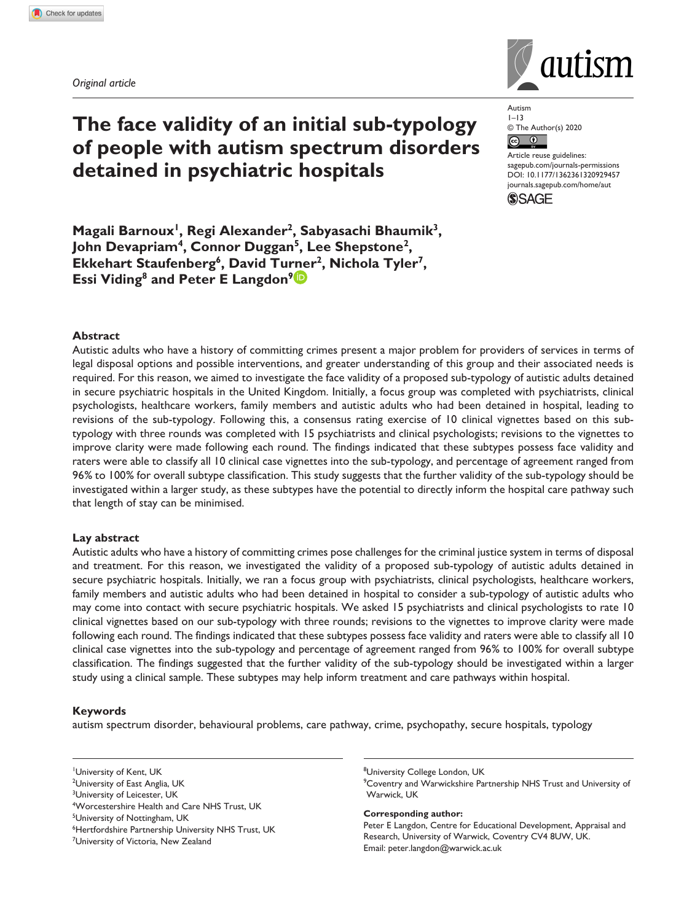*Original article*



Autism 1–13 © The Author(s) 2020  $\circ$   $\circ$ 

Article reuse guidelines: [sagepub.com/journals-permissions](https://uk.sagepub.com/en-gb/journals-permissions) DOI: 10.1177/1362361320929457 [journals.sagepub.com/home/aut](https://journals.sagepub.com/home/aut) **SAGE** 

Magali Barnoux<sup>1</sup>, Regi Alexander<sup>2</sup>, Sabyasachi Bhaumik<sup>3</sup>, John Devapriam<sup>4</sup>, Connor Duggan<sup>5</sup>, Lee Shepstone<sup>2</sup>, Ekkehart Staufenberg<sup>6</sup>, David Turner<sup>2</sup>, Nichola Tyler<sup>7</sup>, **Essi Viding<sup>8</sup> and Peter E Langdon<sup>9</sup><sup>0</sup>** 

**detained in psychiatric hospitals**

**The face validity of an initial sub-typology of people with autism spectrum disorders** 

# **Abstract**

Autistic adults who have a history of committing crimes present a major problem for providers of services in terms of legal disposal options and possible interventions, and greater understanding of this group and their associated needs is required. For this reason, we aimed to investigate the face validity of a proposed sub-typology of autistic adults detained in secure psychiatric hospitals in the United Kingdom. Initially, a focus group was completed with psychiatrists, clinical psychologists, healthcare workers, family members and autistic adults who had been detained in hospital, leading to revisions of the sub-typology. Following this, a consensus rating exercise of 10 clinical vignettes based on this subtypology with three rounds was completed with 15 psychiatrists and clinical psychologists; revisions to the vignettes to improve clarity were made following each round. The findings indicated that these subtypes possess face validity and raters were able to classify all 10 clinical case vignettes into the sub-typology, and percentage of agreement ranged from 96% to 100% for overall subtype classification. This study suggests that the further validity of the sub-typology should be investigated within a larger study, as these subtypes have the potential to directly inform the hospital care pathway such that length of stay can be minimised.

#### **Lay abstract**

Autistic adults who have a history of committing crimes pose challenges for the criminal justice system in terms of disposal and treatment. For this reason, we investigated the validity of a proposed sub-typology of autistic adults detained in secure psychiatric hospitals. Initially, we ran a focus group with psychiatrists, clinical psychologists, healthcare workers, family members and autistic adults who had been detained in hospital to consider a sub-typology of autistic adults who may come into contact with secure psychiatric hospitals. We asked 15 psychiatrists and clinical psychologists to rate 10 clinical vignettes based on our sub-typology with three rounds; revisions to the vignettes to improve clarity were made following each round. The findings indicated that these subtypes possess face validity and raters were able to classify all 10 clinical case vignettes into the sub-typology and percentage of agreement ranged from 96% to 100% for overall subtype classification. The findings suggested that the further validity of the sub-typology should be investigated within a larger study using a clinical sample. These subtypes may help inform treatment and care pathways within hospital.

#### **Keywords**

autism spectrum disorder, behavioural problems, care pathway, crime, psychopathy, secure hospitals, typology

- <sup>3</sup>University of Leicester, UK
- 4 Worcestershire Health and Care NHS Trust, UK
- <sup>5</sup>University of Nottingham, UK

<sup>8</sup>University College London, UK 9 Coventry and Warwickshire Partnership NHS Trust and University of Warwick, UK

**Corresponding author:**

Peter E Langdon, Centre for Educational Development, Appraisal and Research, University of Warwick, Coventry CV4 8UW, UK. Email: [peter.langdon@warwick.ac.uk](mailto:peter.langdon@warwick.ac.uk)

<sup>1</sup> University of Kent, UK

<sup>&</sup>lt;sup>2</sup>University of East Anglia, UK

<sup>6</sup> Hertfordshire Partnership University NHS Trust, UK

<sup>&</sup>lt;sup>7</sup>University of Victoria, New Zealand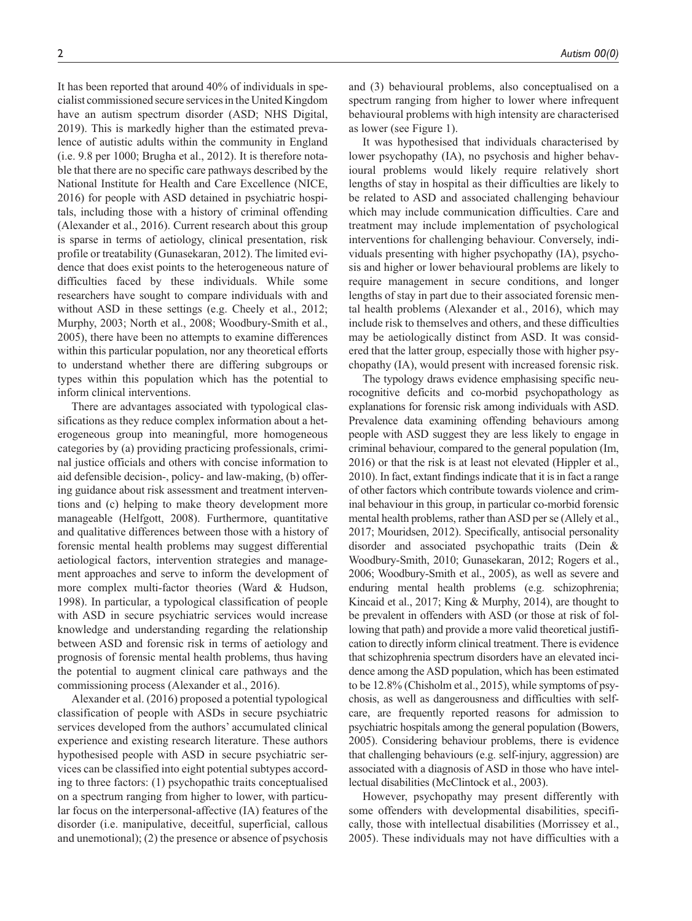It has been reported that around 40% of individuals in specialist commissioned secure services in the United Kingdom have an autism spectrum disorder (ASD; NHS Digital, 2019). This is markedly higher than the estimated prevalence of autistic adults within the community in England (i.e. 9.8 per 1000; Brugha et al., 2012). It is therefore notable that there are no specific care pathways described by the National Institute for Health and Care Excellence (NICE, 2016) for people with ASD detained in psychiatric hospitals, including those with a history of criminal offending (Alexander et al., 2016). Current research about this group is sparse in terms of aetiology, clinical presentation, risk profile or treatability (Gunasekaran, 2012). The limited evidence that does exist points to the heterogeneous nature of difficulties faced by these individuals. While some researchers have sought to compare individuals with and without ASD in these settings (e.g. Cheely et al., 2012; Murphy, 2003; North et al., 2008; Woodbury-Smith et al., 2005), there have been no attempts to examine differences within this particular population, nor any theoretical efforts to understand whether there are differing subgroups or types within this population which has the potential to inform clinical interventions.

There are advantages associated with typological classifications as they reduce complex information about a heterogeneous group into meaningful, more homogeneous categories by (a) providing practicing professionals, criminal justice officials and others with concise information to aid defensible decision-, policy- and law-making, (b) offering guidance about risk assessment and treatment interventions and (c) helping to make theory development more manageable (Helfgott, 2008). Furthermore, quantitative and qualitative differences between those with a history of forensic mental health problems may suggest differential aetiological factors, intervention strategies and management approaches and serve to inform the development of more complex multi-factor theories (Ward & Hudson, 1998). In particular, a typological classification of people with ASD in secure psychiatric services would increase knowledge and understanding regarding the relationship between ASD and forensic risk in terms of aetiology and prognosis of forensic mental health problems, thus having the potential to augment clinical care pathways and the commissioning process (Alexander et al., 2016).

Alexander et al. (2016) proposed a potential typological classification of people with ASDs in secure psychiatric services developed from the authors' accumulated clinical experience and existing research literature. These authors hypothesised people with ASD in secure psychiatric services can be classified into eight potential subtypes according to three factors: (1) psychopathic traits conceptualised on a spectrum ranging from higher to lower, with particular focus on the interpersonal-affective (IA) features of the disorder (i.e. manipulative, deceitful, superficial, callous and unemotional); (2) the presence or absence of psychosis and (3) behavioural problems, also conceptualised on a spectrum ranging from higher to lower where infrequent behavioural problems with high intensity are characterised as lower (see Figure 1).

It was hypothesised that individuals characterised by lower psychopathy (IA), no psychosis and higher behavioural problems would likely require relatively short lengths of stay in hospital as their difficulties are likely to be related to ASD and associated challenging behaviour which may include communication difficulties. Care and treatment may include implementation of psychological interventions for challenging behaviour. Conversely, individuals presenting with higher psychopathy (IA), psychosis and higher or lower behavioural problems are likely to require management in secure conditions, and longer lengths of stay in part due to their associated forensic mental health problems (Alexander et al., 2016), which may include risk to themselves and others, and these difficulties may be aetiologically distinct from ASD. It was considered that the latter group, especially those with higher psychopathy (IA), would present with increased forensic risk.

The typology draws evidence emphasising specific neurocognitive deficits and co-morbid psychopathology as explanations for forensic risk among individuals with ASD. Prevalence data examining offending behaviours among people with ASD suggest they are less likely to engage in criminal behaviour, compared to the general population (Im, 2016) or that the risk is at least not elevated (Hippler et al., 2010). In fact, extant findings indicate that it is in fact a range of other factors which contribute towards violence and criminal behaviour in this group, in particular co-morbid forensic mental health problems, rather than ASD per se (Allely et al., 2017; Mouridsen, 2012). Specifically, antisocial personality disorder and associated psychopathic traits (Dein & Woodbury-Smith, 2010; Gunasekaran, 2012; Rogers et al., 2006; Woodbury-Smith et al., 2005), as well as severe and enduring mental health problems (e.g. schizophrenia; Kincaid et al., 2017; King & Murphy, 2014), are thought to be prevalent in offenders with ASD (or those at risk of following that path) and provide a more valid theoretical justification to directly inform clinical treatment. There is evidence that schizophrenia spectrum disorders have an elevated incidence among the ASD population, which has been estimated to be 12.8% (Chisholm et al., 2015), while symptoms of psychosis, as well as dangerousness and difficulties with selfcare, are frequently reported reasons for admission to psychiatric hospitals among the general population (Bowers, 2005). Considering behaviour problems, there is evidence that challenging behaviours (e.g. self-injury, aggression) are associated with a diagnosis of ASD in those who have intellectual disabilities (McClintock et al., 2003).

However, psychopathy may present differently with some offenders with developmental disabilities, specifically, those with intellectual disabilities (Morrissey et al., 2005). These individuals may not have difficulties with a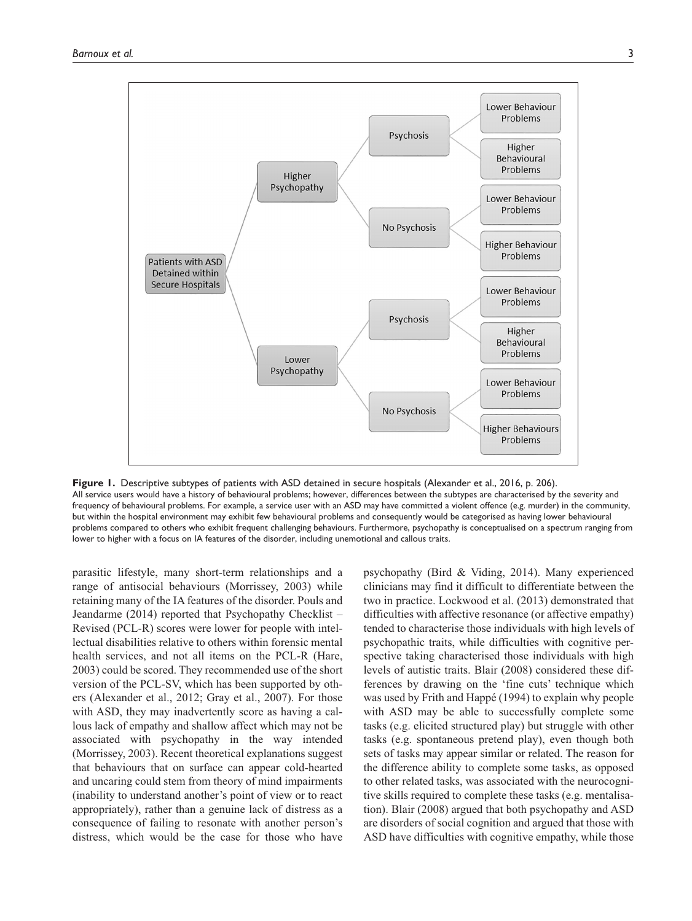

**Figure 1.** Descriptive subtypes of patients with ASD detained in secure hospitals (Alexander et al., 2016, p. 206). All service users would have a history of behavioural problems; however, differences between the subtypes are characterised by the severity and frequency of behavioural problems. For example, a service user with an ASD may have committed a violent offence (e.g. murder) in the community, but within the hospital environment may exhibit few behavioural problems and consequently would be categorised as having lower behavioural problems compared to others who exhibit frequent challenging behaviours. Furthermore, psychopathy is conceptualised on a spectrum ranging from lower to higher with a focus on IA features of the disorder, including unemotional and callous traits.

parasitic lifestyle, many short-term relationships and a range of antisocial behaviours (Morrissey, 2003) while retaining many of the IA features of the disorder. Pouls and Jeandarme (2014) reported that Psychopathy Checklist – Revised (PCL-R) scores were lower for people with intellectual disabilities relative to others within forensic mental health services, and not all items on the PCL-R (Hare, 2003) could be scored. They recommended use of the short version of the PCL-SV, which has been supported by others (Alexander et al., 2012; Gray et al., 2007). For those with ASD, they may inadvertently score as having a callous lack of empathy and shallow affect which may not be associated with psychopathy in the way intended (Morrissey, 2003). Recent theoretical explanations suggest that behaviours that on surface can appear cold-hearted and uncaring could stem from theory of mind impairments (inability to understand another's point of view or to react appropriately), rather than a genuine lack of distress as a consequence of failing to resonate with another person's distress, which would be the case for those who have psychopathy (Bird & Viding, 2014). Many experienced clinicians may find it difficult to differentiate between the two in practice. Lockwood et al. (2013) demonstrated that difficulties with affective resonance (or affective empathy) tended to characterise those individuals with high levels of psychopathic traits, while difficulties with cognitive perspective taking characterised those individuals with high levels of autistic traits. Blair (2008) considered these differences by drawing on the 'fine cuts' technique which was used by Frith and Happé (1994) to explain why people with ASD may be able to successfully complete some tasks (e.g. elicited structured play) but struggle with other tasks (e.g. spontaneous pretend play), even though both sets of tasks may appear similar or related. The reason for the difference ability to complete some tasks, as opposed to other related tasks, was associated with the neurocognitive skills required to complete these tasks (e.g. mentalisation). Blair (2008) argued that both psychopathy and ASD are disorders of social cognition and argued that those with ASD have difficulties with cognitive empathy, while those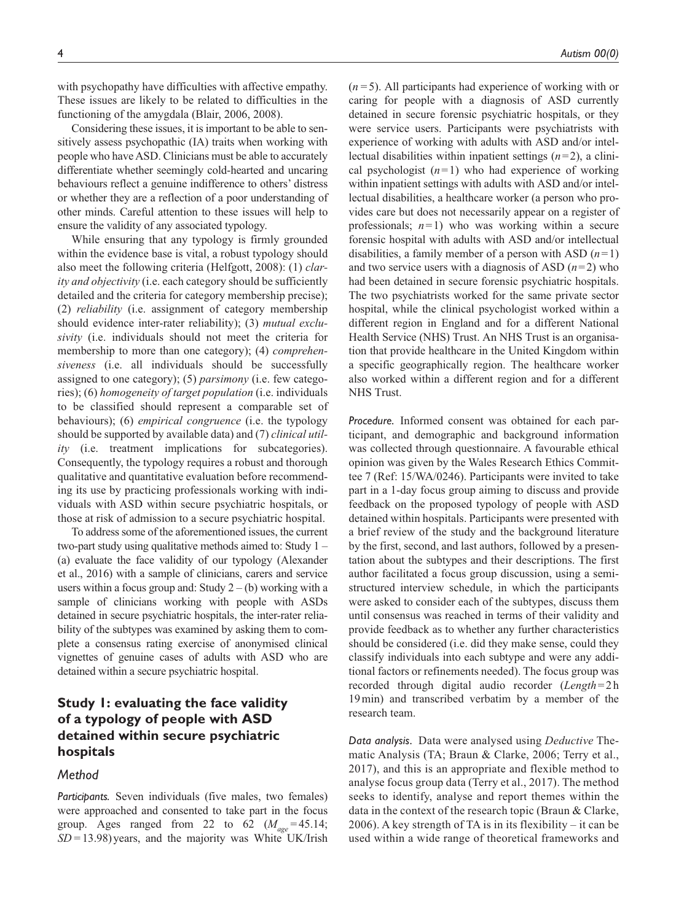with psychopathy have difficulties with affective empathy. These issues are likely to be related to difficulties in the functioning of the amygdala (Blair, 2006, 2008).

Considering these issues, it is important to be able to sensitively assess psychopathic (IA) traits when working with people who have ASD. Clinicians must be able to accurately differentiate whether seemingly cold-hearted and uncaring behaviours reflect a genuine indifference to others' distress or whether they are a reflection of a poor understanding of other minds. Careful attention to these issues will help to ensure the validity of any associated typology.

While ensuring that any typology is firmly grounded within the evidence base is vital, a robust typology should also meet the following criteria (Helfgott, 2008): (1) *clarity and objectivity* (i.e. each category should be sufficiently detailed and the criteria for category membership precise); (2) *reliability* (i.e. assignment of category membership should evidence inter-rater reliability); (3) *mutual exclusivity* (i.e. individuals should not meet the criteria for membership to more than one category); (4) *comprehensiveness* (i.e. all individuals should be successfully assigned to one category); (5) *parsimony* (i.e. few categories); (6) *homogeneity of target population* (i.e. individuals to be classified should represent a comparable set of behaviours); (6) *empirical congruence* (i.e. the typology should be supported by available data) and (7) *clinical utility* (i.e. treatment implications for subcategories). Consequently, the typology requires a robust and thorough qualitative and quantitative evaluation before recommending its use by practicing professionals working with individuals with ASD within secure psychiatric hospitals, or those at risk of admission to a secure psychiatric hospital.

To address some of the aforementioned issues, the current two-part study using qualitative methods aimed to: Study 1 – (a) evaluate the face validity of our typology (Alexander et al., 2016) with a sample of clinicians, carers and service users within a focus group and: Study  $2 - (b)$  working with a sample of clinicians working with people with ASDs detained in secure psychiatric hospitals, the inter-rater reliability of the subtypes was examined by asking them to complete a consensus rating exercise of anonymised clinical vignettes of genuine cases of adults with ASD who are detained within a secure psychiatric hospital.

# **Study 1: evaluating the face validity of a typology of people with ASD detained within secure psychiatric hospitals**

# *Method*

*Participants.* Seven individuals (five males, two females) were approached and consented to take part in the focus group. Ages ranged from 22 to 62  $(M_{\text{gas}}=45.14;$ *SD*=13.98) years, and the majority was White UK/Irish (*n=*5). All participants had experience of working with or caring for people with a diagnosis of ASD currently detained in secure forensic psychiatric hospitals, or they were service users. Participants were psychiatrists with experience of working with adults with ASD and/or intellectual disabilities within inpatient settings (*n*=2), a clinical psychologist  $(n=1)$  who had experience of working within inpatient settings with adults with ASD and/or intellectual disabilities, a healthcare worker (a person who provides care but does not necessarily appear on a register of professionals;  $n=1$ ) who was working within a secure forensic hospital with adults with ASD and/or intellectual disabilities, a family member of a person with ASD (*n*=1) and two service users with a diagnosis of ASD  $(n=2)$  who had been detained in secure forensic psychiatric hospitals. The two psychiatrists worked for the same private sector hospital, while the clinical psychologist worked within a different region in England and for a different National Health Service (NHS) Trust. An NHS Trust is an organisation that provide healthcare in the United Kingdom within a specific geographically region. The healthcare worker also worked within a different region and for a different NHS Trust.

*Procedure.* Informed consent was obtained for each participant, and demographic and background information was collected through questionnaire. A favourable ethical opinion was given by the Wales Research Ethics Committee 7 (Ref: 15/WA/0246). Participants were invited to take part in a 1-day focus group aiming to discuss and provide feedback on the proposed typology of people with ASD detained within hospitals. Participants were presented with a brief review of the study and the background literature by the first, second, and last authors, followed by a presentation about the subtypes and their descriptions. The first author facilitated a focus group discussion, using a semistructured interview schedule, in which the participants were asked to consider each of the subtypes, discuss them until consensus was reached in terms of their validity and provide feedback as to whether any further characteristics should be considered (i.e. did they make sense, could they classify individuals into each subtype and were any additional factors or refinements needed). The focus group was recorded through digital audio recorder (*Length*=2 h 19min) and transcribed verbatim by a member of the research team.

*Data analysis.* Data were analysed using *Deductive* Thematic Analysis (TA; Braun & Clarke, 2006; Terry et al., 2017), and this is an appropriate and flexible method to analyse focus group data (Terry et al., 2017). The method seeks to identify, analyse and report themes within the data in the context of the research topic (Braun & Clarke, 2006). A key strength of TA is in its flexibility – it can be used within a wide range of theoretical frameworks and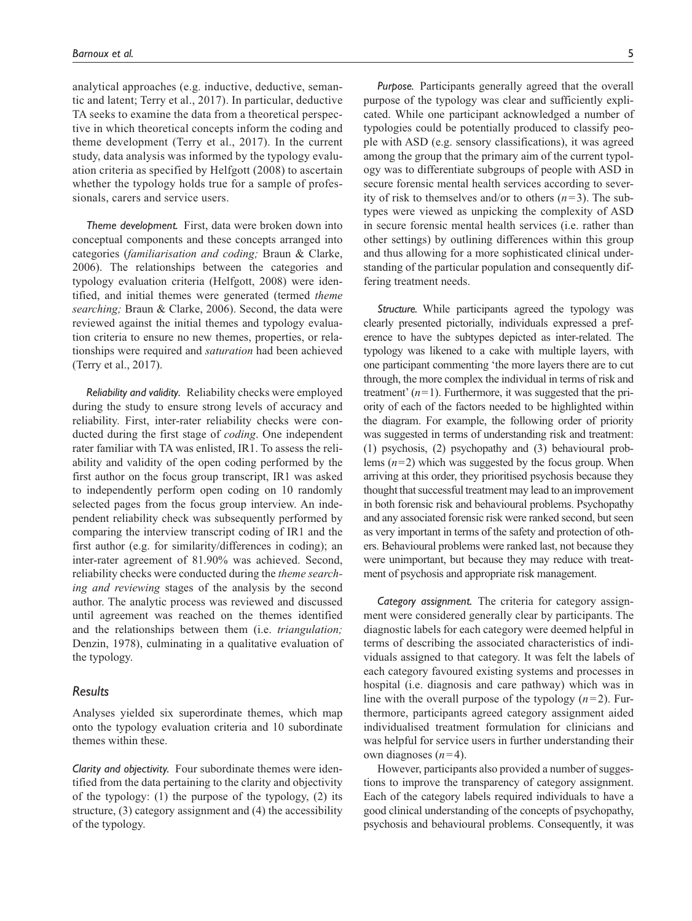analytical approaches (e.g. inductive, deductive, semantic and latent; Terry et al., 2017). In particular, deductive TA seeks to examine the data from a theoretical perspective in which theoretical concepts inform the coding and theme development (Terry et al., 2017). In the current study, data analysis was informed by the typology evaluation criteria as specified by Helfgott (2008) to ascertain whether the typology holds true for a sample of professionals, carers and service users.

*Theme development.* First, data were broken down into conceptual components and these concepts arranged into categories (*familiarisation and coding;* Braun & Clarke, 2006). The relationships between the categories and typology evaluation criteria (Helfgott, 2008) were identified, and initial themes were generated (termed *theme searching;* Braun & Clarke, 2006). Second, the data were reviewed against the initial themes and typology evaluation criteria to ensure no new themes, properties, or relationships were required and *saturation* had been achieved (Terry et al., 2017).

*Reliability and validity.* Reliability checks were employed during the study to ensure strong levels of accuracy and reliability. First, inter-rater reliability checks were conducted during the first stage of *coding*. One independent rater familiar with TA was enlisted, IR1. To assess the reliability and validity of the open coding performed by the first author on the focus group transcript, IR1 was asked to independently perform open coding on 10 randomly selected pages from the focus group interview. An independent reliability check was subsequently performed by comparing the interview transcript coding of IR1 and the first author (e.g. for similarity/differences in coding); an inter-rater agreement of 81.90% was achieved. Second, reliability checks were conducted during the *theme searching and reviewing* stages of the analysis by the second author. The analytic process was reviewed and discussed until agreement was reached on the themes identified and the relationships between them (i.e. *triangulation;* Denzin, 1978), culminating in a qualitative evaluation of the typology.

### *Results*

Analyses yielded six superordinate themes, which map onto the typology evaluation criteria and 10 subordinate themes within these.

*Clarity and objectivity.* Four subordinate themes were identified from the data pertaining to the clarity and objectivity of the typology: (1) the purpose of the typology, (2) its structure, (3) category assignment and (4) the accessibility of the typology.

*Purpose.* Participants generally agreed that the overall purpose of the typology was clear and sufficiently explicated. While one participant acknowledged a number of typologies could be potentially produced to classify people with ASD (e.g. sensory classifications), it was agreed among the group that the primary aim of the current typology was to differentiate subgroups of people with ASD in secure forensic mental health services according to severity of risk to themselves and/or to others (*n*=3). The subtypes were viewed as unpicking the complexity of ASD in secure forensic mental health services (i.e. rather than other settings) by outlining differences within this group and thus allowing for a more sophisticated clinical understanding of the particular population and consequently differing treatment needs.

*Structure.* While participants agreed the typology was clearly presented pictorially, individuals expressed a preference to have the subtypes depicted as inter-related. The typology was likened to a cake with multiple layers, with one participant commenting 'the more layers there are to cut through, the more complex the individual in terms of risk and treatment'  $(n=1)$ . Furthermore, it was suggested that the priority of each of the factors needed to be highlighted within the diagram. For example, the following order of priority was suggested in terms of understanding risk and treatment: (1) psychosis, (2) psychopathy and (3) behavioural problems (*n*=2) which was suggested by the focus group. When arriving at this order, they prioritised psychosis because they thought that successful treatment may lead to an improvement in both forensic risk and behavioural problems. Psychopathy and any associated forensic risk were ranked second, but seen as very important in terms of the safety and protection of others. Behavioural problems were ranked last, not because they were unimportant, but because they may reduce with treatment of psychosis and appropriate risk management.

*Category assignment.* The criteria for category assignment were considered generally clear by participants. The diagnostic labels for each category were deemed helpful in terms of describing the associated characteristics of individuals assigned to that category. It was felt the labels of each category favoured existing systems and processes in hospital (i.e. diagnosis and care pathway) which was in line with the overall purpose of the typology  $(n=2)$ . Furthermore, participants agreed category assignment aided individualised treatment formulation for clinicians and was helpful for service users in further understanding their own diagnoses (*n*=4).

However, participants also provided a number of suggestions to improve the transparency of category assignment. Each of the category labels required individuals to have a good clinical understanding of the concepts of psychopathy, psychosis and behavioural problems. Consequently, it was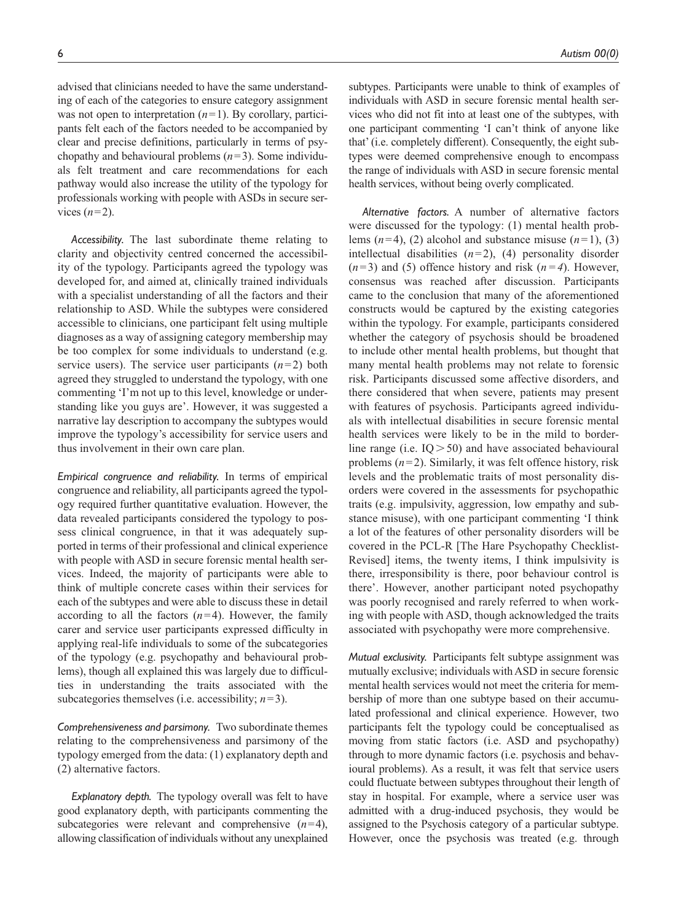advised that clinicians needed to have the same understanding of each of the categories to ensure category assignment was not open to interpretation (*n*=1). By corollary, participants felt each of the factors needed to be accompanied by clear and precise definitions, particularly in terms of psychopathy and behavioural problems (*n*=3). Some individuals felt treatment and care recommendations for each pathway would also increase the utility of the typology for professionals working with people with ASDs in secure services  $(n=2)$ .

*Accessibility.* The last subordinate theme relating to clarity and objectivity centred concerned the accessibility of the typology. Participants agreed the typology was developed for, and aimed at, clinically trained individuals with a specialist understanding of all the factors and their relationship to ASD. While the subtypes were considered accessible to clinicians, one participant felt using multiple diagnoses as a way of assigning category membership may be too complex for some individuals to understand (e.g. service users). The service user participants  $(n=2)$  both agreed they struggled to understand the typology, with one commenting 'I'm not up to this level, knowledge or understanding like you guys are'. However, it was suggested a narrative lay description to accompany the subtypes would improve the typology's accessibility for service users and thus involvement in their own care plan.

*Empirical congruence and reliability.* In terms of empirical congruence and reliability, all participants agreed the typology required further quantitative evaluation. However, the data revealed participants considered the typology to possess clinical congruence, in that it was adequately supported in terms of their professional and clinical experience with people with ASD in secure forensic mental health services. Indeed, the majority of participants were able to think of multiple concrete cases within their services for each of the subtypes and were able to discuss these in detail according to all the factors  $(n=4)$ . However, the family carer and service user participants expressed difficulty in applying real-life individuals to some of the subcategories of the typology (e.g. psychopathy and behavioural problems), though all explained this was largely due to difficulties in understanding the traits associated with the subcategories themselves (i.e. accessibility; *n*=3).

*Comprehensiveness and parsimony.* Two subordinate themes relating to the comprehensiveness and parsimony of the typology emerged from the data: (1) explanatory depth and (2) alternative factors.

*Explanatory depth.* The typology overall was felt to have good explanatory depth, with participants commenting the subcategories were relevant and comprehensive  $(n=4)$ , allowing classification of individuals without any unexplained subtypes. Participants were unable to think of examples of individuals with ASD in secure forensic mental health services who did not fit into at least one of the subtypes, with one participant commenting 'I can't think of anyone like that' (i.e. completely different). Consequently, the eight subtypes were deemed comprehensive enough to encompass the range of individuals with ASD in secure forensic mental health services, without being overly complicated.

*Alternative factors.* A number of alternative factors were discussed for the typology: (1) mental health problems  $(n=4)$ , (2) alcohol and substance misuse  $(n=1)$ , (3) intellectual disabilities (*n*=2), (4) personality disorder  $(n=3)$  and (5) offence history and risk  $(n=4)$ . However, consensus was reached after discussion. Participants came to the conclusion that many of the aforementioned constructs would be captured by the existing categories within the typology. For example, participants considered whether the category of psychosis should be broadened to include other mental health problems, but thought that many mental health problems may not relate to forensic risk. Participants discussed some affective disorders, and there considered that when severe, patients may present with features of psychosis. Participants agreed individuals with intellectual disabilities in secure forensic mental health services were likely to be in the mild to borderline range (i.e.  $IQ > 50$ ) and have associated behavioural problems (*n*=2). Similarly, it was felt offence history, risk levels and the problematic traits of most personality disorders were covered in the assessments for psychopathic traits (e.g. impulsivity, aggression, low empathy and substance misuse), with one participant commenting 'I think a lot of the features of other personality disorders will be covered in the PCL-R [The Hare Psychopathy Checklist-Revised] items, the twenty items, I think impulsivity is there, irresponsibility is there, poor behaviour control is there'. However, another participant noted psychopathy was poorly recognised and rarely referred to when working with people with ASD, though acknowledged the traits associated with psychopathy were more comprehensive.

*Mutual exclusivity.* Participants felt subtype assignment was mutually exclusive; individuals with ASD in secure forensic mental health services would not meet the criteria for membership of more than one subtype based on their accumulated professional and clinical experience. However, two participants felt the typology could be conceptualised as moving from static factors (i.e. ASD and psychopathy) through to more dynamic factors (i.e. psychosis and behavioural problems). As a result, it was felt that service users could fluctuate between subtypes throughout their length of stay in hospital. For example, where a service user was admitted with a drug-induced psychosis, they would be assigned to the Psychosis category of a particular subtype. However, once the psychosis was treated (e.g. through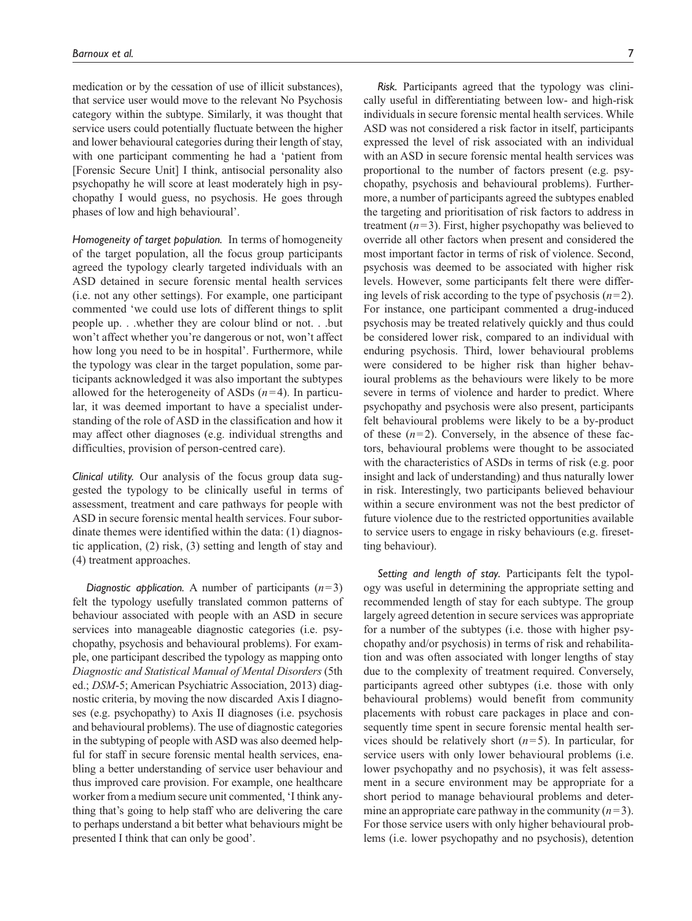medication or by the cessation of use of illicit substances), that service user would move to the relevant No Psychosis category within the subtype. Similarly, it was thought that service users could potentially fluctuate between the higher and lower behavioural categories during their length of stay, with one participant commenting he had a 'patient from [Forensic Secure Unit] I think, antisocial personality also psychopathy he will score at least moderately high in psychopathy I would guess, no psychosis. He goes through phases of low and high behavioural'.

*Homogeneity of target population.* In terms of homogeneity of the target population, all the focus group participants agreed the typology clearly targeted individuals with an ASD detained in secure forensic mental health services (i.e. not any other settings). For example, one participant commented 'we could use lots of different things to split people up. . .whether they are colour blind or not. . .but won't affect whether you're dangerous or not, won't affect how long you need to be in hospital'. Furthermore, while the typology was clear in the target population, some participants acknowledged it was also important the subtypes allowed for the heterogeneity of ASDs  $(n=4)$ . In particular, it was deemed important to have a specialist understanding of the role of ASD in the classification and how it may affect other diagnoses (e.g. individual strengths and difficulties, provision of person-centred care).

*Clinical utility.* Our analysis of the focus group data suggested the typology to be clinically useful in terms of assessment, treatment and care pathways for people with ASD in secure forensic mental health services. Four subordinate themes were identified within the data: (1) diagnostic application, (2) risk, (3) setting and length of stay and (4) treatment approaches.

*Diagnostic application.* A number of participants  $(n=3)$ felt the typology usefully translated common patterns of behaviour associated with people with an ASD in secure services into manageable diagnostic categories (i.e. psychopathy, psychosis and behavioural problems). For example, one participant described the typology as mapping onto *Diagnostic and Statistical Manual of Mental Disorders* (5th ed.; *DSM*-5; American Psychiatric Association, 2013) diagnostic criteria, by moving the now discarded Axis I diagnoses (e.g. psychopathy) to Axis II diagnoses (i.e. psychosis and behavioural problems). The use of diagnostic categories in the subtyping of people with ASD was also deemed helpful for staff in secure forensic mental health services, enabling a better understanding of service user behaviour and thus improved care provision. For example, one healthcare worker from a medium secure unit commented, 'I think anything that's going to help staff who are delivering the care to perhaps understand a bit better what behaviours might be presented I think that can only be good'.

*Risk.* Participants agreed that the typology was clinically useful in differentiating between low- and high-risk individuals in secure forensic mental health services. While ASD was not considered a risk factor in itself, participants expressed the level of risk associated with an individual with an ASD in secure forensic mental health services was proportional to the number of factors present (e.g. psychopathy, psychosis and behavioural problems). Furthermore, a number of participants agreed the subtypes enabled the targeting and prioritisation of risk factors to address in treatment  $(n=3)$ . First, higher psychopathy was believed to override all other factors when present and considered the most important factor in terms of risk of violence. Second, psychosis was deemed to be associated with higher risk levels. However, some participants felt there were differing levels of risk according to the type of psychosis (*n*=2). For instance, one participant commented a drug-induced psychosis may be treated relatively quickly and thus could be considered lower risk, compared to an individual with enduring psychosis. Third, lower behavioural problems were considered to be higher risk than higher behavioural problems as the behaviours were likely to be more severe in terms of violence and harder to predict. Where psychopathy and psychosis were also present, participants felt behavioural problems were likely to be a by-product of these  $(n=2)$ . Conversely, in the absence of these factors, behavioural problems were thought to be associated with the characteristics of ASDs in terms of risk (e.g. poor insight and lack of understanding) and thus naturally lower in risk. Interestingly, two participants believed behaviour within a secure environment was not the best predictor of future violence due to the restricted opportunities available to service users to engage in risky behaviours (e.g. firesetting behaviour).

*Setting and length of stay.* Participants felt the typology was useful in determining the appropriate setting and recommended length of stay for each subtype. The group largely agreed detention in secure services was appropriate for a number of the subtypes (i.e. those with higher psychopathy and/or psychosis) in terms of risk and rehabilitation and was often associated with longer lengths of stay due to the complexity of treatment required. Conversely, participants agreed other subtypes (i.e. those with only behavioural problems) would benefit from community placements with robust care packages in place and consequently time spent in secure forensic mental health services should be relatively short (*n*=5). In particular, for service users with only lower behavioural problems (i.e. lower psychopathy and no psychosis), it was felt assessment in a secure environment may be appropriate for a short period to manage behavioural problems and determine an appropriate care pathway in the community  $(n=3)$ . For those service users with only higher behavioural problems (i.e. lower psychopathy and no psychosis), detention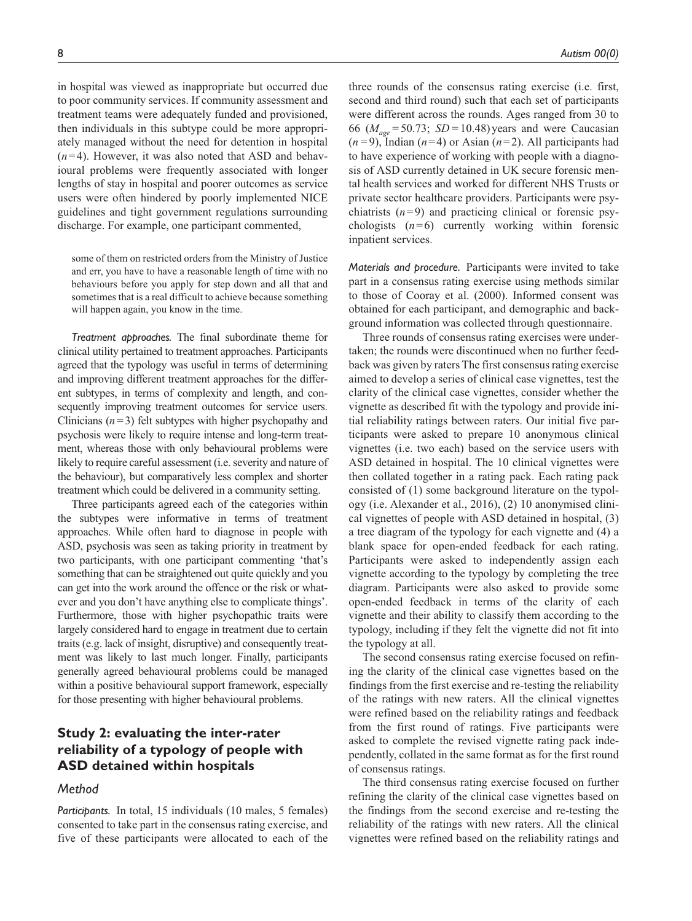in hospital was viewed as inappropriate but occurred due to poor community services. If community assessment and treatment teams were adequately funded and provisioned, then individuals in this subtype could be more appropriately managed without the need for detention in hospital  $(n=4)$ . However, it was also noted that ASD and behavioural problems were frequently associated with longer lengths of stay in hospital and poorer outcomes as service users were often hindered by poorly implemented NICE guidelines and tight government regulations surrounding discharge. For example, one participant commented,

some of them on restricted orders from the Ministry of Justice and err, you have to have a reasonable length of time with no behaviours before you apply for step down and all that and sometimes that is a real difficult to achieve because something will happen again, you know in the time.

*Treatment approaches.* The final subordinate theme for clinical utility pertained to treatment approaches. Participants agreed that the typology was useful in terms of determining and improving different treatment approaches for the different subtypes, in terms of complexity and length, and consequently improving treatment outcomes for service users. Clinicians  $(n=3)$  felt subtypes with higher psychopathy and psychosis were likely to require intense and long-term treatment, whereas those with only behavioural problems were likely to require careful assessment (i.e. severity and nature of the behaviour), but comparatively less complex and shorter treatment which could be delivered in a community setting.

Three participants agreed each of the categories within the subtypes were informative in terms of treatment approaches. While often hard to diagnose in people with ASD, psychosis was seen as taking priority in treatment by two participants, with one participant commenting 'that's something that can be straightened out quite quickly and you can get into the work around the offence or the risk or whatever and you don't have anything else to complicate things'. Furthermore, those with higher psychopathic traits were largely considered hard to engage in treatment due to certain traits (e.g. lack of insight, disruptive) and consequently treatment was likely to last much longer. Finally, participants generally agreed behavioural problems could be managed within a positive behavioural support framework, especially for those presenting with higher behavioural problems.

# **Study 2: evaluating the inter-rater reliability of a typology of people with ASD detained within hospitals**

# *Method*

*Participants.* In total, 15 individuals (10 males, 5 females) consented to take part in the consensus rating exercise, and five of these participants were allocated to each of the three rounds of the consensus rating exercise (i.e. first, second and third round) such that each set of participants were different across the rounds. Ages ranged from 30 to 66 ( $M_{\text{age}}$ =50.73; *SD* = 10.48) years and were Caucasian (*n=*9), Indian (*n*=4) or Asian (*n*=2). All participants had to have experience of working with people with a diagnosis of ASD currently detained in UK secure forensic mental health services and worked for different NHS Trusts or private sector healthcare providers. Participants were psychiatrists  $(n=9)$  and practicing clinical or forensic psychologists  $(n=6)$  currently working within forensic inpatient services.

*Materials and procedure.* Participants were invited to take part in a consensus rating exercise using methods similar to those of Cooray et al. (2000). Informed consent was obtained for each participant, and demographic and background information was collected through questionnaire.

Three rounds of consensus rating exercises were undertaken; the rounds were discontinued when no further feedback was given by raters The first consensus rating exercise aimed to develop a series of clinical case vignettes, test the clarity of the clinical case vignettes, consider whether the vignette as described fit with the typology and provide initial reliability ratings between raters. Our initial five participants were asked to prepare 10 anonymous clinical vignettes (i.e. two each) based on the service users with ASD detained in hospital. The 10 clinical vignettes were then collated together in a rating pack. Each rating pack consisted of (1) some background literature on the typology (i.e. Alexander et al., 2016), (2) 10 anonymised clinical vignettes of people with ASD detained in hospital, (3) a tree diagram of the typology for each vignette and (4) a blank space for open-ended feedback for each rating. Participants were asked to independently assign each vignette according to the typology by completing the tree diagram. Participants were also asked to provide some open-ended feedback in terms of the clarity of each vignette and their ability to classify them according to the typology, including if they felt the vignette did not fit into the typology at all.

The second consensus rating exercise focused on refining the clarity of the clinical case vignettes based on the findings from the first exercise and re-testing the reliability of the ratings with new raters. All the clinical vignettes were refined based on the reliability ratings and feedback from the first round of ratings. Five participants were asked to complete the revised vignette rating pack independently, collated in the same format as for the first round of consensus ratings.

The third consensus rating exercise focused on further refining the clarity of the clinical case vignettes based on the findings from the second exercise and re-testing the reliability of the ratings with new raters. All the clinical vignettes were refined based on the reliability ratings and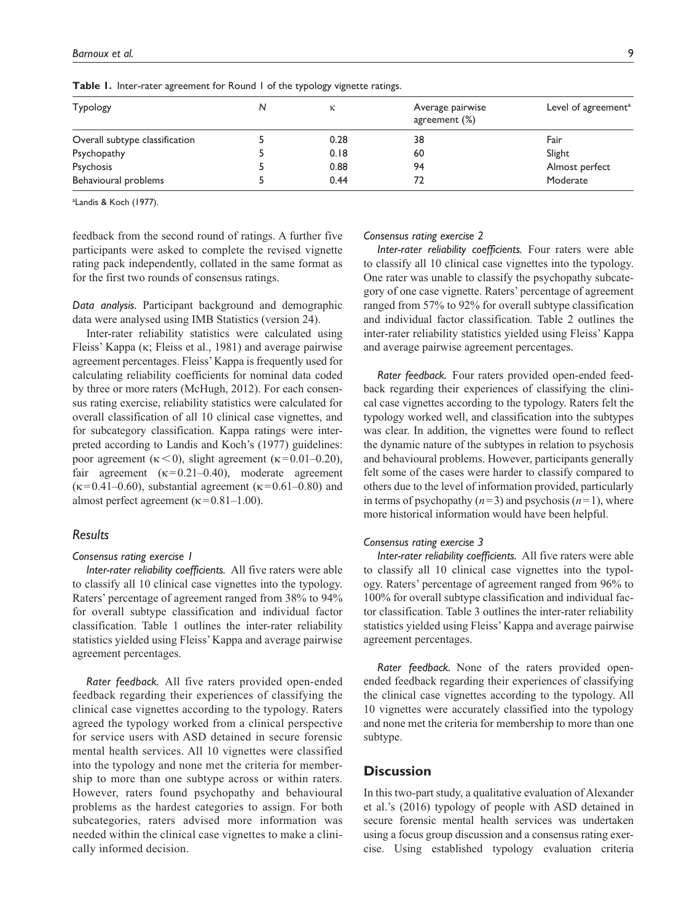| <b>Typology</b>                | κ    | Average pairwise<br>agreement (%) | Level of agreement <sup>a</sup> |  |
|--------------------------------|------|-----------------------------------|---------------------------------|--|
| Overall subtype classification | 0.28 | 38                                | Fair                            |  |
| Psychopathy                    | 0.18 | 60                                | Slight                          |  |
| Psychosis                      | 0.88 | 94                                | Almost perfect                  |  |
| Behavioural problems           | 0.44 | 72                                | Moderate                        |  |

**Table 1.** Inter-rater agreement for Round 1 of the typology vignette ratings.

a Landis & Koch (1977).

feedback from the second round of ratings. A further five participants were asked to complete the revised vignette rating pack independently, collated in the same format as for the first two rounds of consensus ratings.

*Data analysis.* Participant background and demographic data were analysed using IMB Statistics (version 24).

Inter-rater reliability statistics were calculated using Fleiss' Kappa (κ; Fleiss et al., 1981) and average pairwise agreement percentages. Fleiss' Kappa is frequently used for calculating reliability coefficients for nominal data coded by three or more raters (McHugh, 2012). For each consensus rating exercise, reliability statistics were calculated for overall classification of all 10 clinical case vignettes, and for subcategory classification. Kappa ratings were interpreted according to Landis and Koch's (1977) guidelines: poor agreement ( $\kappa$ <0), slight agreement ( $\kappa$ =0.01–0.20), fair agreement  $(\kappa=0.21-0.40)$ , moderate agreement  $(\kappa=0.41-0.60)$ , substantial agreement  $(\kappa=0.61-0.80)$  and almost perfect agreement ( $\kappa$ =0.81–1.00).

## *Results*

#### *Consensus rating exercise 1*

*Inter-rater reliability coefficients.* All five raters were able to classify all 10 clinical case vignettes into the typology. Raters' percentage of agreement ranged from 38% to 94% for overall subtype classification and individual factor classification. Table 1 outlines the inter-rater reliability statistics yielded using Fleiss' Kappa and average pairwise agreement percentages.

*Rater feedback.* All five raters provided open-ended feedback regarding their experiences of classifying the clinical case vignettes according to the typology. Raters agreed the typology worked from a clinical perspective for service users with ASD detained in secure forensic mental health services. All 10 vignettes were classified into the typology and none met the criteria for membership to more than one subtype across or within raters. However, raters found psychopathy and behavioural problems as the hardest categories to assign. For both subcategories, raters advised more information was needed within the clinical case vignettes to make a clinically informed decision.

#### *Consensus rating exercise 2*

*Inter-rater reliability coefficients.* Four raters were able to classify all 10 clinical case vignettes into the typology. One rater was unable to classify the psychopathy subcategory of one case vignette. Raters' percentage of agreement ranged from 57% to 92% for overall subtype classification and individual factor classification. Table 2 outlines the inter-rater reliability statistics yielded using Fleiss' Kappa and average pairwise agreement percentages.

*Rater feedback.* Four raters provided open-ended feedback regarding their experiences of classifying the clinical case vignettes according to the typology. Raters felt the typology worked well, and classification into the subtypes was clear. In addition, the vignettes were found to reflect the dynamic nature of the subtypes in relation to psychosis and behavioural problems. However, participants generally felt some of the cases were harder to classify compared to others due to the level of information provided, particularly in terms of psychopathy  $(n=3)$  and psychosis  $(n=1)$ , where more historical information would have been helpful.

#### *Consensus rating exercise 3*

*Inter-rater reliability coefficients.* All five raters were able to classify all 10 clinical case vignettes into the typology. Raters' percentage of agreement ranged from 96% to 100% for overall subtype classification and individual factor classification. Table 3 outlines the inter-rater reliability statistics yielded using Fleiss' Kappa and average pairwise agreement percentages.

*Rater feedback.* None of the raters provided openended feedback regarding their experiences of classifying the clinical case vignettes according to the typology. All 10 vignettes were accurately classified into the typology and none met the criteria for membership to more than one subtype.

# **Discussion**

In this two-part study, a qualitative evaluation of Alexander et al.'s (2016) typology of people with ASD detained in secure forensic mental health services was undertaken using a focus group discussion and a consensus rating exercise. Using established typology evaluation criteria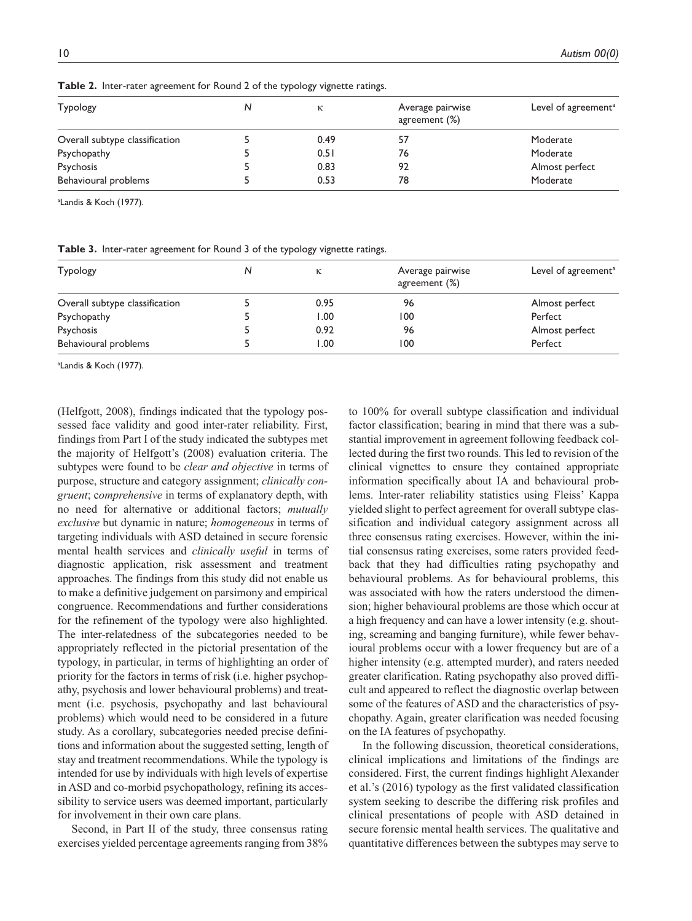| <b>Typology</b>                |      | Average pairwise<br>agreement (%) | Level of agreement <sup>a</sup> |
|--------------------------------|------|-----------------------------------|---------------------------------|
| Overall subtype classification | 0.49 | 57                                | Moderate                        |
| Psychopathy                    | 0.51 | 76                                | Moderate                        |
| Psychosis                      | 0.83 | 92                                | Almost perfect                  |
| Behavioural problems           | 0.53 | 78                                | Moderate                        |

**Table 2.** Inter-rater agreement for Round 2 of the typology vignette ratings.

a Landis & Koch (1977).

**Table 3.** Inter-rater agreement for Round 3 of the typology vignette ratings.

| <b>Typology</b>                | N | κ    | Average pairwise<br>agreement (%) | Level of agreement <sup>a</sup> |
|--------------------------------|---|------|-----------------------------------|---------------------------------|
| Overall subtype classification |   | 0.95 | 96                                | Almost perfect                  |
| Psychopathy                    |   | 1.00 | 100                               | Perfect                         |
| Psychosis                      |   | 0.92 | 96                                | Almost perfect                  |
| Behavioural problems           |   | 1.00 | 100                               | Perfect                         |

a Landis & Koch (1977).

(Helfgott, 2008), findings indicated that the typology possessed face validity and good inter-rater reliability. First, findings from Part I of the study indicated the subtypes met the majority of Helfgott's (2008) evaluation criteria. The subtypes were found to be *clear and objective* in terms of purpose, structure and category assignment; *clinically congruent*; c*omprehensive* in terms of explanatory depth, with no need for alternative or additional factors; *mutually exclusive* but dynamic in nature; *homogeneous* in terms of targeting individuals with ASD detained in secure forensic mental health services and *clinically useful* in terms of diagnostic application, risk assessment and treatment approaches. The findings from this study did not enable us to make a definitive judgement on parsimony and empirical congruence. Recommendations and further considerations for the refinement of the typology were also highlighted. The inter-relatedness of the subcategories needed to be appropriately reflected in the pictorial presentation of the typology, in particular, in terms of highlighting an order of priority for the factors in terms of risk (i.e. higher psychopathy, psychosis and lower behavioural problems) and treatment (i.e. psychosis, psychopathy and last behavioural problems) which would need to be considered in a future study. As a corollary, subcategories needed precise definitions and information about the suggested setting, length of stay and treatment recommendations. While the typology is intended for use by individuals with high levels of expertise in ASD and co-morbid psychopathology, refining its accessibility to service users was deemed important, particularly for involvement in their own care plans.

Second, in Part II of the study, three consensus rating exercises yielded percentage agreements ranging from 38%

to 100% for overall subtype classification and individual factor classification; bearing in mind that there was a substantial improvement in agreement following feedback collected during the first two rounds. This led to revision of the clinical vignettes to ensure they contained appropriate information specifically about IA and behavioural problems. Inter-rater reliability statistics using Fleiss' Kappa yielded slight to perfect agreement for overall subtype classification and individual category assignment across all three consensus rating exercises. However, within the initial consensus rating exercises, some raters provided feedback that they had difficulties rating psychopathy and behavioural problems. As for behavioural problems, this was associated with how the raters understood the dimension; higher behavioural problems are those which occur at a high frequency and can have a lower intensity (e.g. shouting, screaming and banging furniture), while fewer behavioural problems occur with a lower frequency but are of a higher intensity (e.g. attempted murder), and raters needed greater clarification. Rating psychopathy also proved difficult and appeared to reflect the diagnostic overlap between some of the features of ASD and the characteristics of psychopathy. Again, greater clarification was needed focusing on the IA features of psychopathy.

In the following discussion, theoretical considerations, clinical implications and limitations of the findings are considered. First, the current findings highlight Alexander et al.'s (2016) typology as the first validated classification system seeking to describe the differing risk profiles and clinical presentations of people with ASD detained in secure forensic mental health services. The qualitative and quantitative differences between the subtypes may serve to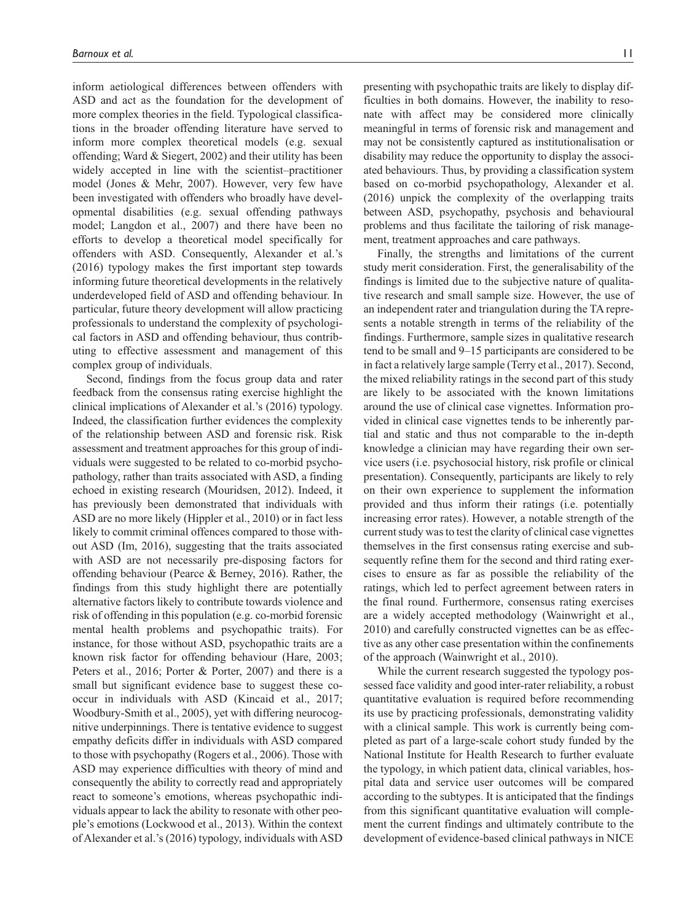inform aetiological differences between offenders with ASD and act as the foundation for the development of more complex theories in the field. Typological classifications in the broader offending literature have served to inform more complex theoretical models (e.g. sexual offending; Ward & Siegert, 2002) and their utility has been widely accepted in line with the scientist–practitioner model (Jones & Mehr, 2007). However, very few have been investigated with offenders who broadly have developmental disabilities (e.g. sexual offending pathways model; Langdon et al., 2007) and there have been no efforts to develop a theoretical model specifically for offenders with ASD. Consequently, Alexander et al.'s (2016) typology makes the first important step towards informing future theoretical developments in the relatively underdeveloped field of ASD and offending behaviour. In particular, future theory development will allow practicing professionals to understand the complexity of psychological factors in ASD and offending behaviour, thus contributing to effective assessment and management of this complex group of individuals.

Second, findings from the focus group data and rater feedback from the consensus rating exercise highlight the clinical implications of Alexander et al.'s (2016) typology. Indeed, the classification further evidences the complexity of the relationship between ASD and forensic risk. Risk assessment and treatment approaches for this group of individuals were suggested to be related to co-morbid psychopathology, rather than traits associated with ASD, a finding echoed in existing research (Mouridsen, 2012). Indeed, it has previously been demonstrated that individuals with ASD are no more likely (Hippler et al., 2010) or in fact less likely to commit criminal offences compared to those without ASD (Im, 2016), suggesting that the traits associated with ASD are not necessarily pre-disposing factors for offending behaviour (Pearce & Berney, 2016). Rather, the findings from this study highlight there are potentially alternative factors likely to contribute towards violence and risk of offending in this population (e.g. co-morbid forensic mental health problems and psychopathic traits). For instance, for those without ASD, psychopathic traits are a known risk factor for offending behaviour (Hare, 2003; Peters et al., 2016; Porter & Porter, 2007) and there is a small but significant evidence base to suggest these cooccur in individuals with ASD (Kincaid et al., 2017; Woodbury-Smith et al., 2005), yet with differing neurocognitive underpinnings. There is tentative evidence to suggest empathy deficits differ in individuals with ASD compared to those with psychopathy (Rogers et al., 2006). Those with ASD may experience difficulties with theory of mind and consequently the ability to correctly read and appropriately react to someone's emotions, whereas psychopathic individuals appear to lack the ability to resonate with other people's emotions (Lockwood et al., 2013). Within the context of Alexander et al.'s (2016) typology, individuals with ASD presenting with psychopathic traits are likely to display difficulties in both domains. However, the inability to resonate with affect may be considered more clinically meaningful in terms of forensic risk and management and may not be consistently captured as institutionalisation or disability may reduce the opportunity to display the associated behaviours. Thus, by providing a classification system based on co-morbid psychopathology, Alexander et al. (2016) unpick the complexity of the overlapping traits between ASD, psychopathy, psychosis and behavioural problems and thus facilitate the tailoring of risk management, treatment approaches and care pathways.

Finally, the strengths and limitations of the current study merit consideration. First, the generalisability of the findings is limited due to the subjective nature of qualitative research and small sample size. However, the use of an independent rater and triangulation during the TA represents a notable strength in terms of the reliability of the findings. Furthermore, sample sizes in qualitative research tend to be small and 9–15 participants are considered to be in fact a relatively large sample (Terry et al., 2017). Second, the mixed reliability ratings in the second part of this study are likely to be associated with the known limitations around the use of clinical case vignettes. Information provided in clinical case vignettes tends to be inherently partial and static and thus not comparable to the in-depth knowledge a clinician may have regarding their own service users (i.e. psychosocial history, risk profile or clinical presentation). Consequently, participants are likely to rely on their own experience to supplement the information provided and thus inform their ratings (i.e. potentially increasing error rates). However, a notable strength of the current study was to test the clarity of clinical case vignettes themselves in the first consensus rating exercise and subsequently refine them for the second and third rating exercises to ensure as far as possible the reliability of the ratings, which led to perfect agreement between raters in the final round. Furthermore, consensus rating exercises are a widely accepted methodology (Wainwright et al., 2010) and carefully constructed vignettes can be as effective as any other case presentation within the confinements of the approach (Wainwright et al., 2010).

While the current research suggested the typology possessed face validity and good inter-rater reliability, a robust quantitative evaluation is required before recommending its use by practicing professionals, demonstrating validity with a clinical sample. This work is currently being completed as part of a large-scale cohort study funded by the National Institute for Health Research to further evaluate the typology, in which patient data, clinical variables, hospital data and service user outcomes will be compared according to the subtypes. It is anticipated that the findings from this significant quantitative evaluation will complement the current findings and ultimately contribute to the development of evidence-based clinical pathways in NICE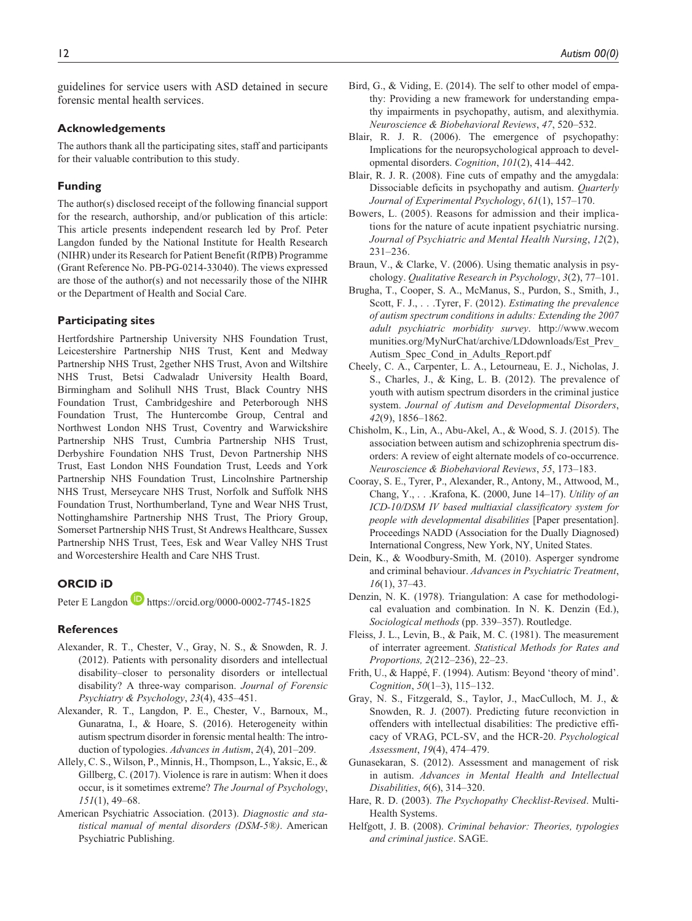guidelines for service users with ASD detained in secure forensic mental health services.

# **Acknowledgements**

The authors thank all the participating sites, staff and participants for their valuable contribution to this study.

#### **Funding**

The author(s) disclosed receipt of the following financial support for the research, authorship, and/or publication of this article: This article presents independent research led by Prof. Peter Langdon funded by the National Institute for Health Research (NIHR) under its Research for Patient Benefit (RfPB) Programme (Grant Reference No. PB-PG-0214-33040). The views expressed are those of the author(s) and not necessarily those of the NIHR or the Department of Health and Social Care.

#### **Participating sites**

Hertfordshire Partnership University NHS Foundation Trust, Leicestershire Partnership NHS Trust, Kent and Medway Partnership NHS Trust, 2gether NHS Trust, Avon and Wiltshire NHS Trust, Betsi Cadwaladr University Health Board, Birmingham and Solihull NHS Trust, Black Country NHS Foundation Trust, Cambridgeshire and Peterborough NHS Foundation Trust, The Huntercombe Group, Central and Northwest London NHS Trust, Coventry and Warwickshire Partnership NHS Trust, Cumbria Partnership NHS Trust, Derbyshire Foundation NHS Trust, Devon Partnership NHS Trust, East London NHS Foundation Trust, Leeds and York Partnership NHS Foundation Trust, Lincolnshire Partnership NHS Trust, Merseycare NHS Trust, Norfolk and Suffolk NHS Foundation Trust, Northumberland, Tyne and Wear NHS Trust, Nottinghamshire Partnership NHS Trust, The Priory Group, Somerset Partnership NHS Trust, St Andrews Healthcare, Sussex Partnership NHS Trust, Tees, Esk and Wear Valley NHS Trust and Worcestershire Health and Care NHS Trust.

#### **ORCID iD**

Peter E Langdon **b** <https://orcid.org/0000-0002-7745-1825>

#### **References**

- Alexander, R. T., Chester, V., Gray, N. S., & Snowden, R. J. (2012). Patients with personality disorders and intellectual disability–closer to personality disorders or intellectual disability? A three-way comparison. *Journal of Forensic Psychiatry & Psychology*, *23*(4), 435–451.
- Alexander, R. T., Langdon, P. E., Chester, V., Barnoux, M., Gunaratna, I., & Hoare, S. (2016). Heterogeneity within autism spectrum disorder in forensic mental health: The introduction of typologies. *Advances in Autism*, *2*(4), 201–209.
- Allely, C. S., Wilson, P., Minnis, H., Thompson, L., Yaksic, E., & Gillberg, C. (2017). Violence is rare in autism: When it does occur, is it sometimes extreme? *The Journal of Psychology*, *151*(1), 49–68.
- American Psychiatric Association. (2013). *Diagnostic and statistical manual of mental disorders (DSM-5®)*. American Psychiatric Publishing.
- Bird, G., & Viding, E. (2014). The self to other model of empathy: Providing a new framework for understanding empathy impairments in psychopathy, autism, and alexithymia. *Neuroscience & Biobehavioral Reviews*, *47*, 520–532.
- Blair, R. J. R. (2006). The emergence of psychopathy: Implications for the neuropsychological approach to developmental disorders. *Cognition*, *101*(2), 414–442.
- Blair, R. J. R. (2008). Fine cuts of empathy and the amygdala: Dissociable deficits in psychopathy and autism. *Quarterly Journal of Experimental Psychology*, *61*(1), 157–170.
- Bowers, L. (2005). Reasons for admission and their implications for the nature of acute inpatient psychiatric nursing. *Journal of Psychiatric and Mental Health Nursing*, *12*(2), 231–236.
- Braun, V., & Clarke, V. (2006). Using thematic analysis in psychology. *Qualitative Research in Psychology*, *3*(2), 77–101.
- Brugha, T., Cooper, S. A., McManus, S., Purdon, S., Smith, J., Scott, F. J., . . .Tyrer, F. (2012). *Estimating the prevalence of autism spectrum conditions in adults: Extending the 2007 adult psychiatric morbidity survey*. [http://www.wecom](http://www.wecommunities.org/MyNurChat/archive/LDdownloads/Est_Prev_Autism_Spec_Cond_in_Adults_Report.pdf) [munities.org/MyNurChat/archive/LDdownloads/Est\\_Prev\\_](http://www.wecommunities.org/MyNurChat/archive/LDdownloads/Est_Prev_Autism_Spec_Cond_in_Adults_Report.pdf) [Autism\\_Spec\\_Cond\\_in\\_Adults\\_Report.pdf](http://www.wecommunities.org/MyNurChat/archive/LDdownloads/Est_Prev_Autism_Spec_Cond_in_Adults_Report.pdf)
- Cheely, C. A., Carpenter, L. A., Letourneau, E. J., Nicholas, J. S., Charles, J., & King, L. B. (2012). The prevalence of youth with autism spectrum disorders in the criminal justice system. *Journal of Autism and Developmental Disorders*, *42*(9), 1856–1862.
- Chisholm, K., Lin, A., Abu-Akel, A., & Wood, S. J. (2015). The association between autism and schizophrenia spectrum disorders: A review of eight alternate models of co-occurrence. *Neuroscience & Biobehavioral Reviews*, *55*, 173–183.
- Cooray, S. E., Tyrer, P., Alexander, R., Antony, M., Attwood, M., Chang, Y., . . .Krafona, K. (2000, June 14–17). *Utility of an ICD-10/DSM IV based multiaxial classificatory system for people with developmental disabilities* [Paper presentation]. Proceedings NADD (Association for the Dually Diagnosed) International Congress, New York, NY, United States.
- Dein, K., & Woodbury-Smith, M. (2010). Asperger syndrome and criminal behaviour. *Advances in Psychiatric Treatment*, *16*(1), 37–43.
- Denzin, N. K. (1978). Triangulation: A case for methodological evaluation and combination. In N. K. Denzin (Ed.), *Sociological methods* (pp. 339–357). Routledge.
- Fleiss, J. L., Levin, B., & Paik, M. C. (1981). The measurement of interrater agreement. *Statistical Methods for Rates and Proportions, 2*(212–236), 22–23.
- Frith, U., & Happé, F. (1994). Autism: Beyond 'theory of mind'. *Cognition*, *50*(1–3), 115–132.
- Gray, N. S., Fitzgerald, S., Taylor, J., MacCulloch, M. J., & Snowden, R. J. (2007). Predicting future reconviction in offenders with intellectual disabilities: The predictive efficacy of VRAG, PCL-SV, and the HCR-20. *Psychological Assessment*, *19*(4), 474–479.
- Gunasekaran, S. (2012). Assessment and management of risk in autism. *Advances in Mental Health and Intellectual Disabilities*, *6*(6), 314–320.
- Hare, R. D. (2003). *The Psychopathy Checklist-Revised*. Multi-Health Systems.
- Helfgott, J. B. (2008). *Criminal behavior: Theories, typologies and criminal justice*. SAGE.